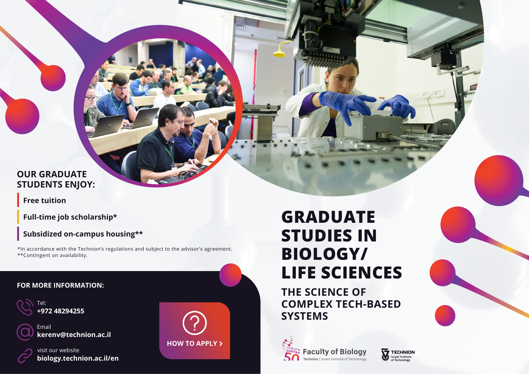## **OUR GRADUATE STUDENTS ENJOY:**

**Free tuition** 

**Full-time job scholarship\*** 

**Subsidized on-campus housing\*\*** 

\*In accordance with the Technion's regulations and subject to the advisor's agreement. \*\*Contingent on availability.

### **FOR MORE INFORMATION:**





**THE SCIENCE OF COMPLEX TECH-BASED SYSTEMS**

Technology of Institute Israel| **Technion**



**48294255 +972** Tel:



kerenv@technion.ac.il Email



biology.technion.ac.il/en visit our website



# **GRADUATE STUDIES IN /BIOLOGY LIFE SCIENCES**